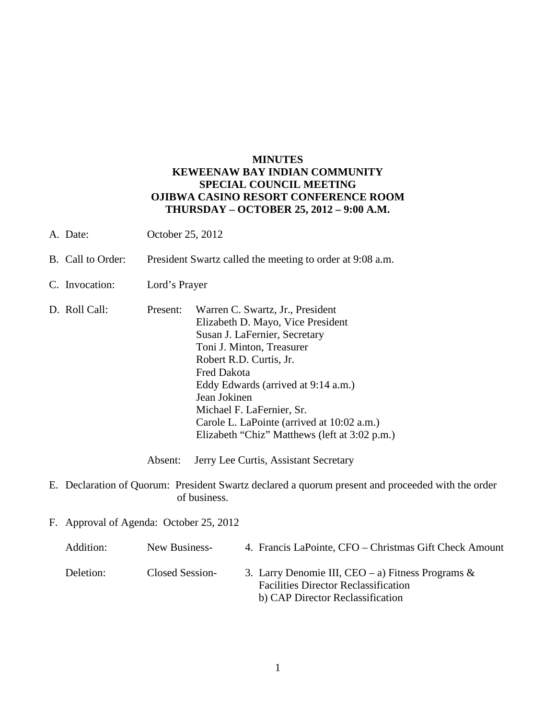### **MINUTES KEWEENAW BAY INDIAN COMMUNITY SPECIAL COUNCIL MEETING OJIBWA CASINO RESORT CONFERENCE ROOM THURSDAY – OCTOBER 25, 2012 – 9:00 A.M.**

- A. Date: October 25, 2012
- B. Call to Order: President Swartz called the meeting to order at 9:08 a.m.
- C. Invocation: Lord's Prayer
- D. Roll Call: Present: Warren C. Swartz, Jr., President Elizabeth D. Mayo, Vice President Susan J. LaFernier, Secretary Toni J. Minton, Treasurer Robert R.D. Curtis, Jr. Fred Dakota Eddy Edwards (arrived at 9:14 a.m.) Jean Jokinen Michael F. LaFernier, Sr. Carole L. LaPointe (arrived at 10:02 a.m.) Elizabeth "Chiz" Matthews (left at 3:02 p.m.)

Absent: Jerry Lee Curtis, Assistant Secretary

- E. Declaration of Quorum: President Swartz declared a quorum present and proceeded with the order of business.
- F. Approval of Agenda: October 25, 2012

| Addition: | New Business-   | 4. Francis LaPointe, CFO – Christmas Gift Check Amount                                                                                  |
|-----------|-----------------|-----------------------------------------------------------------------------------------------------------------------------------------|
| Deletion: | Closed Session- | 3. Larry Denomie III, CEO – a) Fitness Programs $\&$<br><b>Facilities Director Reclassification</b><br>b) CAP Director Reclassification |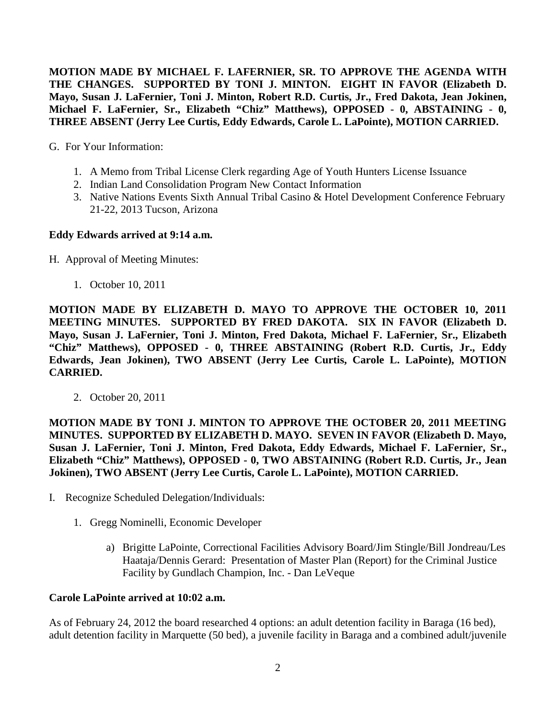**MOTION MADE BY MICHAEL F. LAFERNIER, SR. TO APPROVE THE AGENDA WITH THE CHANGES. SUPPORTED BY TONI J. MINTON. EIGHT IN FAVOR (Elizabeth D. Mayo, Susan J. LaFernier, Toni J. Minton, Robert R.D. Curtis, Jr., Fred Dakota, Jean Jokinen, Michael F. LaFernier, Sr., Elizabeth "Chiz" Matthews), OPPOSED - 0, ABSTAINING - 0, THREE ABSENT (Jerry Lee Curtis, Eddy Edwards, Carole L. LaPointe), MOTION CARRIED.**

G. For Your Information:

- 1. A Memo from Tribal License Clerk regarding Age of Youth Hunters License Issuance
- 2. Indian Land Consolidation Program New Contact Information
- 3. Native Nations Events Sixth Annual Tribal Casino & Hotel Development Conference February 21-22, 2013 Tucson, Arizona

### **Eddy Edwards arrived at 9:14 a.m.**

- H. Approval of Meeting Minutes:
	- 1. October 10, 2011

**MOTION MADE BY ELIZABETH D. MAYO TO APPROVE THE OCTOBER 10, 2011 MEETING MINUTES. SUPPORTED BY FRED DAKOTA. SIX IN FAVOR (Elizabeth D. Mayo, Susan J. LaFernier, Toni J. Minton, Fred Dakota, Michael F. LaFernier, Sr., Elizabeth "Chiz" Matthews), OPPOSED - 0, THREE ABSTAINING (Robert R.D. Curtis, Jr., Eddy Edwards, Jean Jokinen), TWO ABSENT (Jerry Lee Curtis, Carole L. LaPointe), MOTION CARRIED.**

2. October 20, 2011

**MOTION MADE BY TONI J. MINTON TO APPROVE THE OCTOBER 20, 2011 MEETING MINUTES. SUPPORTED BY ELIZABETH D. MAYO. SEVEN IN FAVOR (Elizabeth D. Mayo, Susan J. LaFernier, Toni J. Minton, Fred Dakota, Eddy Edwards, Michael F. LaFernier, Sr., Elizabeth "Chiz" Matthews), OPPOSED - 0, TWO ABSTAINING (Robert R.D. Curtis, Jr., Jean Jokinen), TWO ABSENT (Jerry Lee Curtis, Carole L. LaPointe), MOTION CARRIED.**

- I. Recognize Scheduled Delegation/Individuals:
	- 1. Gregg Nominelli, Economic Developer
		- a) Brigitte LaPointe, Correctional Facilities Advisory Board/Jim Stingle/Bill Jondreau/Les Haataja/Dennis Gerard: Presentation of Master Plan (Report) for the Criminal Justice Facility by Gundlach Champion, Inc. - Dan LeVeque

#### **Carole LaPointe arrived at 10:02 a.m.**

As of February 24, 2012 the board researched 4 options: an adult detention facility in Baraga (16 bed), adult detention facility in Marquette (50 bed), a juvenile facility in Baraga and a combined adult/juvenile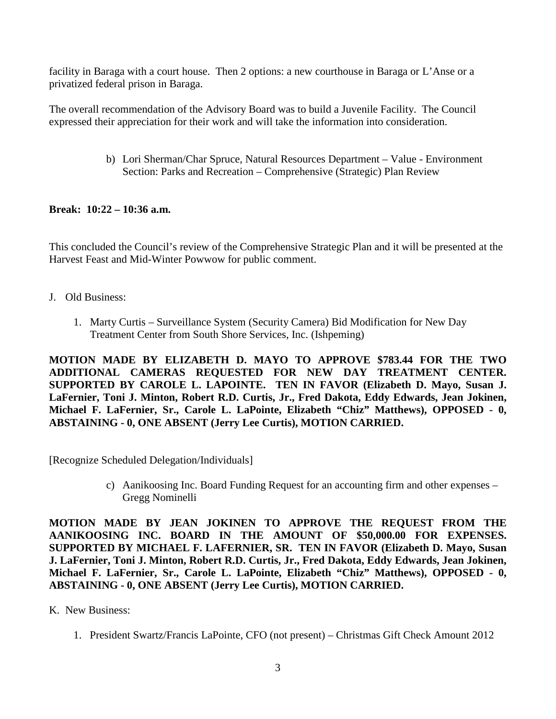facility in Baraga with a court house. Then 2 options: a new courthouse in Baraga or L'Anse or a privatized federal prison in Baraga.

The overall recommendation of the Advisory Board was to build a Juvenile Facility. The Council expressed their appreciation for their work and will take the information into consideration.

> b) Lori Sherman/Char Spruce, Natural Resources Department – Value - Environment Section: Parks and Recreation – Comprehensive (Strategic) Plan Review

# **Break: 10:22 – 10:36 a.m.**

This concluded the Council's review of the Comprehensive Strategic Plan and it will be presented at the Harvest Feast and Mid-Winter Powwow for public comment.

- J. Old Business:
	- 1. Marty Curtis Surveillance System (Security Camera) Bid Modification for New Day Treatment Center from South Shore Services, Inc. (Ishpeming)

**MOTION MADE BY ELIZABETH D. MAYO TO APPROVE \$783.44 FOR THE TWO ADDITIONAL CAMERAS REQUESTED FOR NEW DAY TREATMENT CENTER. SUPPORTED BY CAROLE L. LAPOINTE. TEN IN FAVOR (Elizabeth D. Mayo, Susan J. LaFernier, Toni J. Minton, Robert R.D. Curtis, Jr., Fred Dakota, Eddy Edwards, Jean Jokinen, Michael F. LaFernier, Sr., Carole L. LaPointe, Elizabeth "Chiz" Matthews), OPPOSED - 0, ABSTAINING - 0, ONE ABSENT (Jerry Lee Curtis), MOTION CARRIED.**

[Recognize Scheduled Delegation/Individuals]

c) Aanikoosing Inc. Board Funding Request for an accounting firm and other expenses – Gregg Nominelli

**MOTION MADE BY JEAN JOKINEN TO APPROVE THE REQUEST FROM THE AANIKOOSING INC. BOARD IN THE AMOUNT OF \$50,000.00 FOR EXPENSES. SUPPORTED BY MICHAEL F. LAFERNIER, SR. TEN IN FAVOR (Elizabeth D. Mayo, Susan J. LaFernier, Toni J. Minton, Robert R.D. Curtis, Jr., Fred Dakota, Eddy Edwards, Jean Jokinen, Michael F. LaFernier, Sr., Carole L. LaPointe, Elizabeth "Chiz" Matthews), OPPOSED - 0, ABSTAINING - 0, ONE ABSENT (Jerry Lee Curtis), MOTION CARRIED.**

- K. New Business:
	- 1. President Swartz/Francis LaPointe, CFO (not present) Christmas Gift Check Amount 2012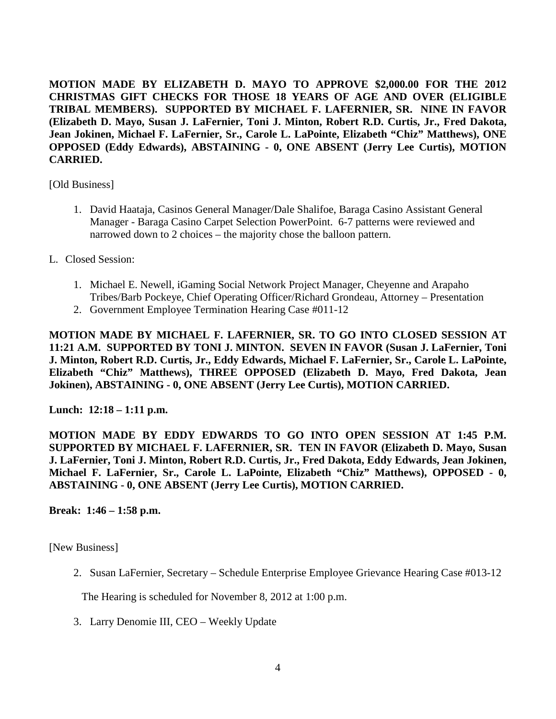**MOTION MADE BY ELIZABETH D. MAYO TO APPROVE \$2,000.00 FOR THE 2012 CHRISTMAS GIFT CHECKS FOR THOSE 18 YEARS OF AGE AND OVER (ELIGIBLE TRIBAL MEMBERS). SUPPORTED BY MICHAEL F. LAFERNIER, SR. NINE IN FAVOR (Elizabeth D. Mayo, Susan J. LaFernier, Toni J. Minton, Robert R.D. Curtis, Jr., Fred Dakota, Jean Jokinen, Michael F. LaFernier, Sr., Carole L. LaPointe, Elizabeth "Chiz" Matthews), ONE OPPOSED (Eddy Edwards), ABSTAINING - 0, ONE ABSENT (Jerry Lee Curtis), MOTION CARRIED.**

[Old Business]

- 1. David Haataja, Casinos General Manager/Dale Shalifoe, Baraga Casino Assistant General Manager - Baraga Casino Carpet Selection PowerPoint. 6-7 patterns were reviewed and narrowed down to 2 choices – the majority chose the balloon pattern.
- L. Closed Session:
	- 1. Michael E. Newell, iGaming Social Network Project Manager, Cheyenne and Arapaho Tribes/Barb Pockeye, Chief Operating Officer/Richard Grondeau, Attorney – Presentation
	- 2. Government Employee Termination Hearing Case #011-12

**MOTION MADE BY MICHAEL F. LAFERNIER, SR. TO GO INTO CLOSED SESSION AT 11:21 A.M. SUPPORTED BY TONI J. MINTON. SEVEN IN FAVOR (Susan J. LaFernier, Toni J. Minton, Robert R.D. Curtis, Jr., Eddy Edwards, Michael F. LaFernier, Sr., Carole L. LaPointe, Elizabeth "Chiz" Matthews), THREE OPPOSED (Elizabeth D. Mayo, Fred Dakota, Jean Jokinen), ABSTAINING - 0, ONE ABSENT (Jerry Lee Curtis), MOTION CARRIED.**

**Lunch: 12:18 – 1:11 p.m.** 

**MOTION MADE BY EDDY EDWARDS TO GO INTO OPEN SESSION AT 1:45 P.M. SUPPORTED BY MICHAEL F. LAFERNIER, SR. TEN IN FAVOR (Elizabeth D. Mayo, Susan J. LaFernier, Toni J. Minton, Robert R.D. Curtis, Jr., Fred Dakota, Eddy Edwards, Jean Jokinen, Michael F. LaFernier, Sr., Carole L. LaPointe, Elizabeth "Chiz" Matthews), OPPOSED - 0, ABSTAINING - 0, ONE ABSENT (Jerry Lee Curtis), MOTION CARRIED.**

**Break: 1:46 – 1:58 p.m.** 

[New Business]

2. Susan LaFernier, Secretary – Schedule Enterprise Employee Grievance Hearing Case #013-12

The Hearing is scheduled for November 8, 2012 at 1:00 p.m.

3. Larry Denomie III, CEO – Weekly Update